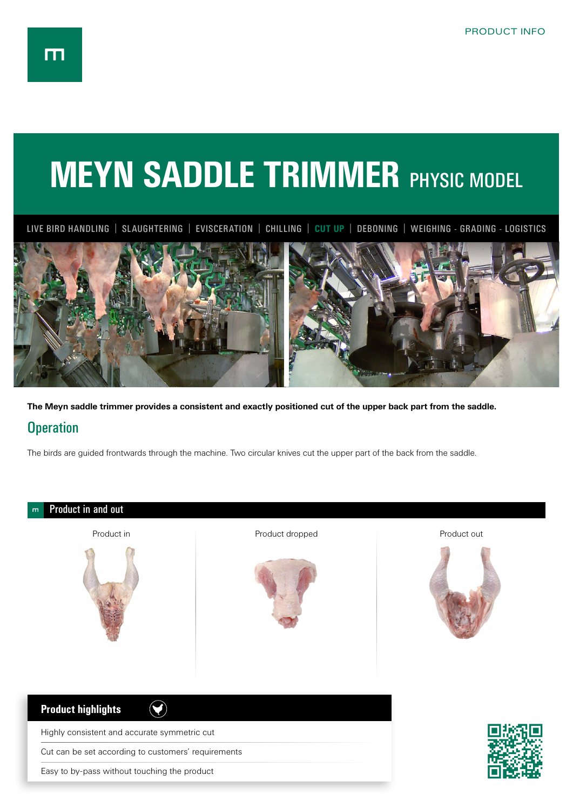## **MEYN SADDLE TRIMMER PHYSIC MODEL**

LIVE BIRD HANDLING | SLAUGHTERING | EVISCERATION | CHILLING | **CUT UP** | DEBONING | WEIGHING - GRADING - LOGISTICS



**The Meyn saddle trimmer provides a consistent and exactly positioned cut of the upper back part from the saddle.** 

## **Operation**

The birds are guided frontwards through the machine. Two circular knives cut the upper part of the back from the saddle.